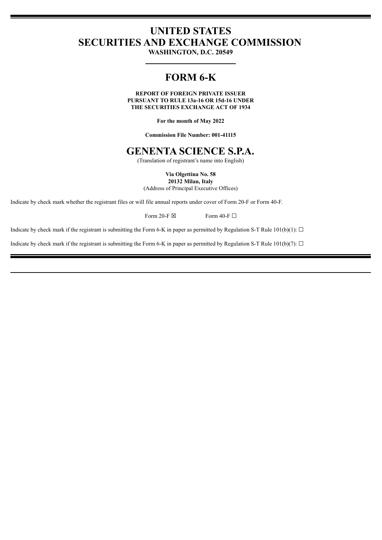## **UNITED STATES SECURITIES AND EXCHANGE COMMISSION**

**WASHINGTON, D.C. 20549**

# **FORM 6-K**

**REPORT OF FOREIGN PRIVATE ISSUER PURSUANT TO RULE 13a-16 OR 15d-16 UNDER THE SECURITIES EXCHANGE ACT OF 1934**

**For the month of May 2022**

**Commission File Number: 001-41115**

## **GENENTA SCIENCE S.P.A.**

(Translation of registrant's name into English)

**Via Olgettina No. 58 20132 Milan, Italy**

(Address of Principal Executive Offices)

Indicate by check mark whether the registrant files or will file annual reports under cover of Form 20-F or Form 40-F.

Form 20-F  $\boxtimes$  Form 40-F  $\Box$ 

Indicate by check mark if the registrant is submitting the Form 6-K in paper as permitted by Regulation S-T Rule 101(b)(1):  $\Box$ 

Indicate by check mark if the registrant is submitting the Form 6-K in paper as permitted by Regulation S-T Rule 101(b)(7):  $\Box$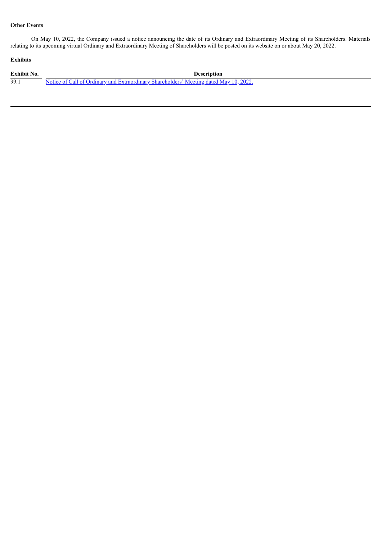## **Other Events**

On May 10, 2022, the Company issued a notice announcing the date of its Ordinary and Extraordinary Meeting of its Shareholders. Materials relating to its upcoming virtual Ordinary and Extraordinary Meeting of Shareholders will be posted on its website on or about May 20, 2022.

## **Exhibits**

| <b>Exhibit No.</b> | <b>Description</b>                                                                     |
|--------------------|----------------------------------------------------------------------------------------|
| 99.                | Notice of Call of Ordinary and Extraordinary Shareholders' Meeting dated May 10, 2022. |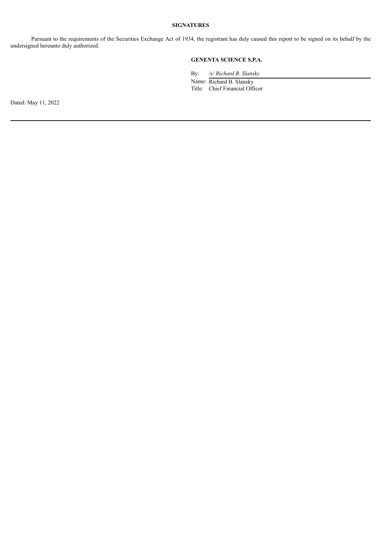Pursuant to the requirements of the Securities Exchange Act of 1934, the registrant has duly caused this report to be signed on its behalf by the undersigned hereunto duly authorized.

## **GENENTA SCIENCE S.P.A.**

By: */s/ Richard B. Slansky*

Name: Richard B. Slansky Title: Chief Financial Officer

Dated: May 11, 2022